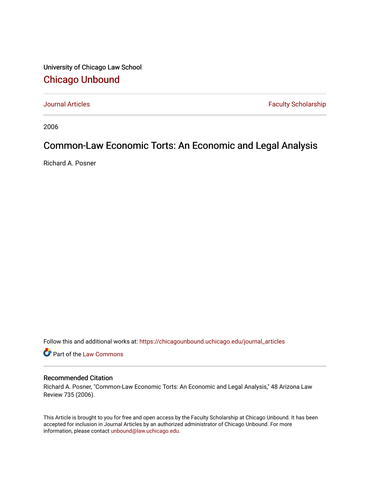University of Chicago Law School [Chicago Unbound](https://chicagounbound.uchicago.edu/)

[Journal Articles](https://chicagounbound.uchicago.edu/journal_articles) **Faculty Scholarship Faculty Scholarship** 

2006

# Common-Law Economic Torts: An Economic and Legal Analysis

Richard A. Posner

Follow this and additional works at: [https://chicagounbound.uchicago.edu/journal\\_articles](https://chicagounbound.uchicago.edu/journal_articles?utm_source=chicagounbound.uchicago.edu%2Fjournal_articles%2F1912&utm_medium=PDF&utm_campaign=PDFCoverPages) 

Part of the [Law Commons](http://network.bepress.com/hgg/discipline/578?utm_source=chicagounbound.uchicago.edu%2Fjournal_articles%2F1912&utm_medium=PDF&utm_campaign=PDFCoverPages)

### Recommended Citation

Richard A. Posner, "Common-Law Economic Torts: An Economic and Legal Analysis," 48 Arizona Law Review 735 (2006).

This Article is brought to you for free and open access by the Faculty Scholarship at Chicago Unbound. It has been accepted for inclusion in Journal Articles by an authorized administrator of Chicago Unbound. For more information, please contact [unbound@law.uchicago.edu](mailto:unbound@law.uchicago.edu).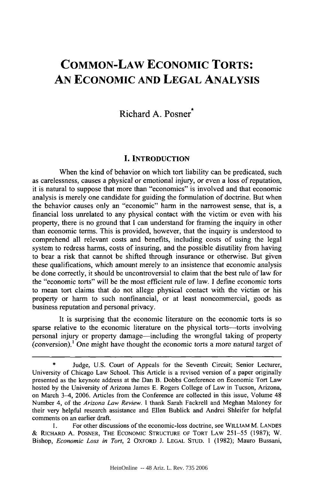# **COMMON-LAW ECONOMIC TORTS: AN ECONOMIC AND LEGAL ANALYSIS**

# Richard **A.** Posner\*

#### **I. INTRODUCTION**

When the kind of behavior on which tort liability can be predicated, such as carelessness, causes a physical or emotional injury, or even a loss of reputation, it is natural to suppose that more than "economics" is involved and that economic analysis is merely one candidate for guiding the formulation of doctrine. But when the behavior causes only an "economic" harm in the narrowest sense, that is, a financial loss unrelated to any physical contact with the victim or even with his property, there is no ground that I can understand for framing the inquiry in other than economic terms. This is provided, however, that the inquiry is understood to comprehend all relevant costs and benefits, including costs of using the legal system to redress harms, costs of insuring, and the possible disutility from having to bear a risk that cannot be shifted through insurance or otherwise. But given these qualifications, which amount merely to an insistence that economic analysis be done correctly, it should be uncontroversial to claim that the best rule of law for the "economic torts" will be the most efficient rule of law. I define economic torts to mean tort claims that do not allege physical contact with the victim or his property or harm to such nonfinancial, or at least noncommercial, goods as business reputation and personal privacy.

It is surprising that the economic literature on the economic torts is so sparse relative to the economic literature on the physical torts—torts involving personal injury or property damage-including the wrongful taking of property (conversion).<sup>1</sup> One might have thought the economic torts a more natural target of

Judge, U.S. Court of Appeals for the Seventh Circuit; Senior Lecturer, University of Chicago Law School. This Article is a revised version of a paper originally presented as the keynote address at the Dan B. Dobbs Conference on Economic Tort Law hosted by the University of Arizona James E. Rogers College of Law in Tucson, Arizona, on March 3-4, 2006. Articles from the Conference are collected in this issue, Volume 48 Number 4, of the *Arizona Law Review.* I thank Sarah Fackrell and Meghan Maloney for their very helpful research assistance and Ellen Bublick and Andrei Shleifer for helpful comments on an earlier draft.

I. For other discussions of the economic-loss doctrine, see WILLIAM M. LANDES & RiCHARD A. POSNER, THE ECONOMIC STRUCTURE OF TORT LAW 251-55 (1987); W. Bishop, *Economic Loss in Tort,* 2 OXFORD J. LEGAL STUD. **1** (1982); Mauro Bussani,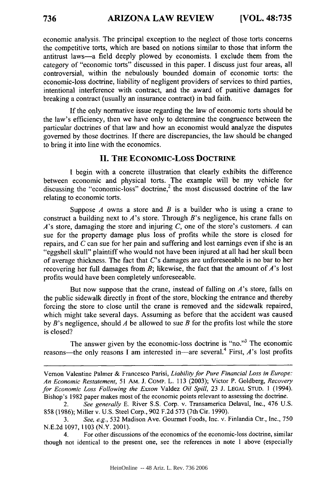economic analysis. The principal exception to the neglect of those torts concerns the competitive torts, which are based on notions similar to those that inform the antitrust laws-a field deeply plowed **by** economists. **I** exclude them from the category of "economic torts" discussed in this paper. **I** discuss just four areas, all controversial, within the nebulously bounded domain of economic torts: the economic-loss doctrine, liability of negligent providers of services to third parties, intentional interference with contract, and the award of punitive damages for breaking a contract (usually an insurance contract) in bad faith.

**If** the only normative issue regarding the law of economic torts should be the law's efficiency, then we have only to determine the congruence between the particular doctrines of that law and how an economist would analyze the disputes governed **by** those doctrines. **If** there are discrepancies, the law should be changed to bring it into line with the economics.

#### **II. THE ECONOMIC-Loss DOCTRINE**

I begin with a concrete illustration that clearly exhibits the difference between economic and physical torts. The example will be my vehicle for discussing the "economic-loss" doctrine,<sup>2</sup> the most discussed doctrine of the law relating to economic torts.

Suppose *A* owns a store and *B* is a builder who is using a crane to construct a building next to *A's* store. Through *B's* negligence, his crane falls on *A's* store, damaging the store and injuring *C,* one of the store's customers. *A* can sue for the property damage plus loss of profits while the store is closed for repairs, and *C* can sue for her pain and suffering and lost earnings even if she is an "eggshell skull" plaintiff who would not have been injured at all had her skull been of average thickness. The fact that *C's* damages are unforeseeable is no bar to her recovering her full damages from B; likewise, the fact that the amount of *A's* lost profits would have been completely unforeseeable.

But now suppose that the crane, instead of falling on  $A$ 's store, falls on the public sidewalk directly in front of the store, blocking the entrance and thereby forcing the store to close until the crane is removed and the sidewalk repaired, which might take several days. Assuming as before that the accident was caused by *B's* negligence, should *A* be allowed to sue *B* for the profits lost while the store is closed?

The answer given by the economic-loss doctrine is "no."<sup>3</sup> The economic reasons-the only reasons I am interested in-are several.<sup>4</sup> First, *A*'s lost profits

Vernon Valentine Palmer & Francesco Parisi, *Liability for Pure Financial Loss in Europe: An Economic Restatement,* 51 AM. **J.** CoMp. L. 113 (2003); Victor P. Goldberg, *Recovery for Economic Loss Following the Exxon* Valdez *Oil Spill,* 23 J. LEGAL STUD. 1 (1994). Bishop's 1982 paper makes most of the economic points relevant to assessing the doctrine.

<sup>2.</sup> *See generally* E. River **S.S.** Corp. v. Transamerica Delaval, Inc., 476 U.S. 858 (1986); Miller v. U.S. Steel Corp., 902 F.2d 573 (7th Cir. 1990).

<sup>3.</sup> *See, e.g.,* 532 Madison Ave. Gourmet Foods, Inc. v. Finlandia Ctr., Inc., 750 N.E.2d 1097, 1103 (N.Y. 2001).

<sup>4.</sup> For other discussions of the economics of the economic-loss doctrine, similar though not identical to the present one, see the references in note 1 above (especially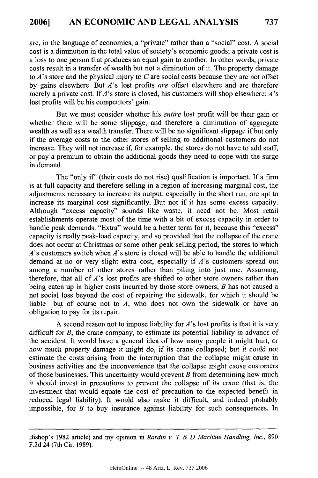are, in the language of economics, a "private" rather than a "social" cost. A social cost is a diminution in the total value of society's economic goods; a private cost is a loss to one person that produces an equal gain to another. In other words, private costs result in a transfer of wealth but not a diminution of it. The property damage to *A's* store and the physical injury to *C* are social costs because they are not offset by gains elsewhere. But *A's* lost profits *are* offset elsewhere and are therefore merely a private cost. If *A's* store is closed, his customers will shop elsewhere: *A's* lost profits will be his competitors' gain.

But we must consider whether his *entire* lost profit will be their gain or whether there will be some slippage, and therefore a diminution of aggregate wealth as well as a wealth transfer. There will be no significant slippage if but only if the average costs to the other stores of selling to additional customers do not increase. They will not increase if, for example, the stores do not have to add staff, or pay a premium to obtain the additional goods they need to cope with the surge in demand.

The "only *if'* (their costs do not rise) qualification is important. If a firm is at full capacity and therefore selling in a region of increasing marginal cost, the adjustments necessary to increase its output, especially in the short run, are apt to increase its marginal cost significantly. But not if it has some excess capacity. Although "excess capacity" sounds like waste, it need not be. Most retail establishments operate most of the time with a bit of excess capacity in order to handle peak demands. "Extra" would be a better term for it, because this "excess" capacity is really peak-load capacity, and so provided that the collapse of the crane does not occur at Christmas or some other peak selling period, the stores to which *A's* customers switch when A's store is closed will be able to handle the additional demand at no or very slight extra cost, especially if *A's* customers spread out among a number of other stores rather than piling into just one. Assuming, therefore, that all of *A's* lost profits are shifted to other store owners rather than being eaten up in higher costs incurred by those store owners, *B* has not caused a net social loss beyond the cost of repairing the sidewalk, for which it should be liable-but of course not to *A,* who does not own the sidewalk or have an obligation to pay for its repair.

A second reason not to impose liability for *A's* lost profits is that it is very difficult for *B*, the crane company, to estimate its potential liability in advance of the accident. It would have a general idea of how many people it might hurt, or how much property damage it might do, if its crane collapsed; but it could not estimate the costs arising from the interruption that the collapse might cause in business activities and the inconvenience that the collapse might cause customers of those businesses. This uncertainty would prevent *B* from determining how much it should invest in precautions to prevent the collapse of its crane (that is, the investment that would equate the cost of precaution to the expected benefit in reduced legal liability). It would also make it difficult, and indeed probably impossible, for *B* to buy insurance against liability for such consequences. In

Bishop's 1982 article) and my opinion in *Rardin v. T & D Machine Handling, Inc.,* 890 F.2d 24 (7th Cir. 1989).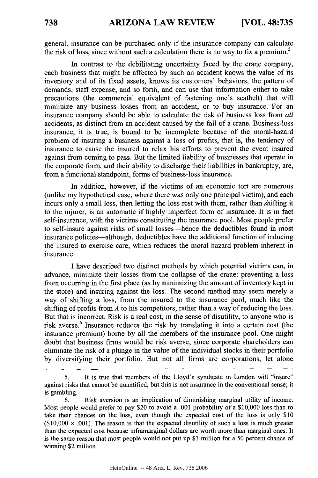general, insurance can be purchased only if the insurance company can calculate the risk of loss, since without such a calculation there is no way to fix a premium.<sup>5</sup>

In contrast to the debilitating uncertainty faced by the crane company, each business that might be affected by such an accident knows the value of its inventory and of its fixed assets, knows its customers' behaviors, the pattern of demands, staff expense, and so forth, and can use that information either to take precautions (the commercial equivalent of fastening one's seatbelt) that will minimize any business losses from an accident, or to buy insurance. For an insurance company should be able to calculate the risk of business loss from *all* accidents, as distinct from an accident caused by the fall of a crane. Business-loss insurance, it is true, is bound to be incomplete because of the moral-hazard problem of insuring a business against a loss of profits, that is, the tendency of insurance to cause the insured to relax his efforts to prevent the event insured against from coming to pass. But the limited liability of businesses that operate in the corporate form, and their ability to discharge their liabilities in bankruptcy, are, from a functional standpoint, forms of business-loss insurance.

In addition, however, if the victims of an economic tort are numerous (unlike my hypothetical case, where there was only one principal victim), and each incurs only a small loss, then letting the loss rest with them, rather than shifting it to the injurer, is an automatic if highly imperfect form of insurance. It is in fact self-insurance, with the victims constituting the insurance pool. Most people prefer to self-insure against risks of small losses—hence the deductibles found in most insurance policies-although, deductibles have the additional function of inducing the insured to exercise care, which reduces the moral-hazard problem inherent in insurance.

I have described two distinct methods by which potential victims can, in advance, minimize their losses from the collapse of the crane: preventing a loss from occurring in the first place (as by minimizing the amount of inventory kept in the store) and insuring against the loss. The second method may seem merely a way of shifting a loss, from the insured to the insurance pool, much like the shifting of profits from *A* to his competitors, rather than a way of reducing the loss. But that is incorrect. Risk is a real cost, in the sense of disutility, to anyone who is risk averse.<sup>6</sup> Insurance reduces the risk by translating it into a certain cost (the insurance premium) bome by all the members of the insurance pool. One might doubt that business firms would be risk averse, since corporate shareholders can eliminate the risk of a plunge in the value of the individual stocks in their portfolio by diversifying their portfolio. But not all firms are corporations, let alone

<sup>5.</sup> It is true that members of the Lloyd's syndicate in London will "insure" against risks that cannot be quantified, but this is not insurance in the conventional sense; it is gambling.

<sup>6.</sup> Risk aversion is an implication of diminishing marginal utility of income. Most people would prefer to pay \$20 to avoid a .001 probability of a \$10,000 loss than to take their chances on the loss, even though the expected cost of the loss is only \$10  $(10,000 \times 0.001)$ . The reason is that the expected disutility of such a loss is much greater than the expected cost because inframarginal dollars are worth more than marginal ones. It is the same reason that most people would not put up \$1 million for a 50 percent chance of winning \$2 million.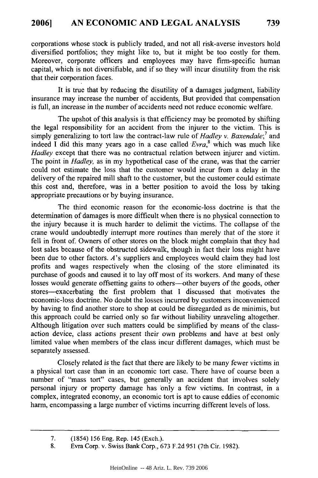corporations whose stock is publicly traded, and not all risk-averse investors hold diversified portfolios; they might like to, but it might be too costly for them. Moreover, corporate officers and employees may have firm-specific human capital, which is not diversifiable, and if so they will incur disutility from the risk that their corporation faces.

It is true that by reducing the disutility of a damages judgment, liability insurance may increase the number of accidents; But provided that compensation is full, an increase in the number of accidents need not reduce economic welfare.

The upshot of this analysis is that efficiency may be promoted by shifting the legal responsibility for an accident from the injurer to the victim. This is simply generalizing to tort law the contract-law rule of *Hadley v. Baxendale;7* and indeed I did this many years ago in a case called *Evra,8* which was much like *Hadley* except that there was no contractual relation between injurer and victim. The point in *Hadley,* as in my hypothetical case of the crane, was that the carrier could not estimate the loss that the customer would incur from a delay in the delivery of the repaired mill shaft to the customer, but the customer could estimate this cost and, therefore, was in a better position to avoid the loss by taking appropriate precautions or by buying insurance.

The third economic reason for the economic-loss doctrine is that the determination of damages is more difficult when there is no physical connection to the injury because it is much harder to delimit the victims. The collapse of the crane would undoubtedly interrupt more routines than merely that of the store it fell in front of. Owners of other stores on the block might complain that they had lost sales because of the obstructed sidewalk, though in fact their loss might have been due to other factors. A's suppliers and employees would claim they had lost profits and wages respectively when the closing of the store eliminated its purchase of goods and caused it to lay off most of its workers. And many of these losses would generate offsetting gains to others-other buyers of the goods, other stores--exacerbating the first problem that I discussed that motivates the economic-loss doctrine. No doubt the losses incurred by customers inconvenienced by having to find another store to shop at could be disregarded as de minimis, but this approach could be carried only so far without liability unraveling altogether. Although litigation over such matters could be simplified by means of the classaction device, class actions present their own problems and have at best only limited value when members of the class incur different damages, which must be separately assessed.

Closely related is the fact that there are likely to be many fewer victims in a physical tort case than in an economic tort case. There have of course been a number of "mass tort" cases, but generally an accident that involves solely personal injury or property damage has only a few victims. In contrast, in a complex, integrated economy, an economic tort is apt to cause eddies of economic harm, encompassing a large number of victims incurring different levels of loss.

**<sup>7.</sup>** (1854) **156** Eng. Rep. 145 (Exch.).

<sup>8.</sup> Evra Corp. v. Swiss Bank Corp., 673 F.2d 951 (7th Cir. 1982).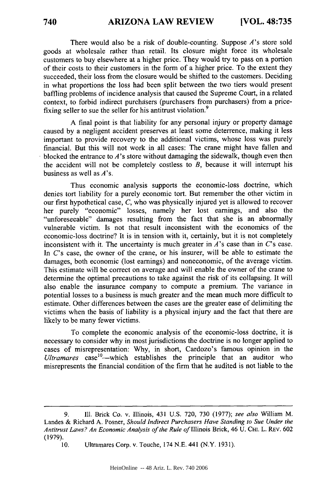There would also be a risk of double-counting. Suppose *A's* store sold goods at wholesale rather than retail. Its closure might force its wholesale customers to buy elsewhere at a higher price. They would try to pass on a portion of their costs to their customers in the form of a higher price. To the extent they succeeded, their loss from the closure would be shifted to the customers. Deciding in what proportions the loss had been split between the two tiers would present baffling problems of incidence analysis that caused the Supreme Court, in a related context, to forbid indirect purchasers (purchasers from purchasers) from a pricefixing seller to sue the seller for his antitrust violation.<sup>9</sup>

A final point is that liability for any personal injury or property damage caused by a negligent accident preserves at least some deterrence, making it less important to provide recovery to the additional victims, whose loss was purely financial. But this will not work in all cases: The crane might have fallen and blocked the entrance to *A's* store without damaging the sidewalk, though even then the accident will not be completely costless to *B,* because it will interrupt his business as well as  $A$ 's.

Thus economic analysis supports the economic-loss doctrine, which denies tort liability for a purely economic tort. But remember the other victim in our first hypothetical case, *C,* who was physically injured yet is allowed to recover her purely "economic" losses, namely her lost earnings, and also the "unforeseeable" damages resulting from the fact that she is an abnormally vulnerable victim. Is not that result inconsistent with the economics of the economic-loss doctrine? It is in tension with it, certainly, but it is not completely inconsistent with it. The uncertainty is much greater in  $A$ 's case than in  $C$ 's case. In C's case, the owner of the crane, or his insurer, will be able to estimate the damages, both economic (lost earnings) and noneconomic, of the average victim. This estimate will be correct on average and will enable the owner of the crane to determine the optimal precautions to take against the risk of its collapsing. It will also enable the insurance company to compute a premium. The variance in potential losses to a business is much greater and the mean much more difficult to estimate. Other differences between the cases are the greater ease of delimiting the victims when the basis of liability is a physical injury and the fact that there are likely to be many fewer victims.

To complete the economic analysis of the economic-loss doctrine, it is necessary to consider why in most jurisdictions the doctrine is no longer applied to cases of misrepresentation: Why, in short, Cardozo's famous opinion in the Ultramares case<sup>10</sup>—which establishes the principle that an auditor who misrepresents the financial condition of the firm that he audited is not liable to the

<sup>9.</sup> Ill. Brick Co. v. Illinois, 431 U.S. 720, 730 (1977); *see also* William M. Landes & Richard A. Posner, *Should Indirect Purchasers Have Standing to Sue Under the Antitrust Laws? An Economic Analysis of the Rule of* Illinois Brick, 46 U. CHI. L. REv. 602 (1979).

<sup>10.</sup> Ultramares Corp. v. Touche, 174 N.E. 441 (N.Y. 1931).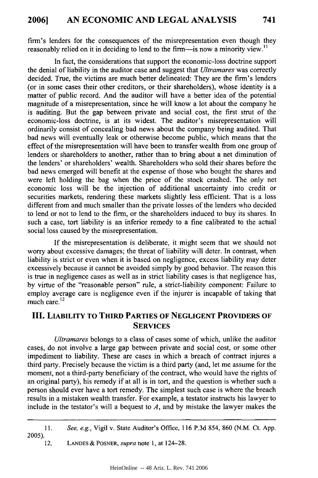firm's lenders for the consequences of the misrepresentation even though they reasonably relied on it in deciding to lend to the firm—is now a minority view.<sup>11</sup>

In fact, the considerations that support the economic-loss doctrine support the denial of liability in the auditor case and suggest that *Ultramares* was correctly decided. True, the victims are much better delineated: They are the firm's lenders (or in some cases their other creditors, or their shareholders), whose identity is a matter of public record. And the auditor will have a better idea of the potential magnitude of a misrepresentation, since he will know a lot about the company he is auditing. But the gap between private and social cost, the first strut of the economic-loss doctrine, is at its widest. The auditor's misrepresentation will ordinarily consist of concealing bad news about the company being audited. That bad news will eventually leak or otherwise become public, which means that the effect of the misrepresentation will have been to transfer wealth from one group of lenders or shareholders to another, rather than to bring about a net diminution of the lenders' or shareholders' wealth. Shareholders who sold their shares before the bad news emerged will benefit at the expense of those who bought the shares and were left holding the bag when the price of the stock crashed. The only net economic loss will be the injection of additional uncertainty into credit or securities markets, rendering these markets slightly less efficient. That is a loss different from and much smaller than the private losses of the lenders who decided to lend or not to lend to the firm, or the shareholders induced to buy its shares. In such a case, tort liability is an inferior remedy to a fine calibrated to the actual social loss caused by the misrepresentation.

If the misrepresentation is deliberate, it might seem that we should not worry about excessive damages; the threat of liability will deter. In contrast, when liability is strict or even when it is based on negligence, excess liability may deter excessively because it cannot be avoided simply by good behavior. The reason this is true in negligence cases as well as in strict liability cases is that negligence has, by virtue of the "reasonable person" rule, a strict-liability component: Failure to employ average care is negligence even if the injurer is incapable of taking that much care.<sup>12</sup>

# **III.** LIABILITY TO **THIRD** PARTIES OF **NEGLIGENT** PROVIDERS OF **SERVICES**

*Ultramares* belongs to a class of cases some of which, unlike the auditor cases, do not involve a large gap between private and social cost, or some other impediment to liability. These are cases in which a breach of contract injures a third party. Precisely because the victim is a third party (and, let me assume for the moment, not a third-party beneficiary of the contract, who would have the rights of an original party), his remedy if at all is in tort, and the question is whether such a person should ever have a tort remedy. The simplest such case is where the breach results in a mistaken wealth transfer. For example, a testator instructs his lawyer to include in the testator's will a bequest to *A,* and by mistake the lawyer makes the

12. **LANDES** & POSNER, *supra* note **1,** at 124-28.

<sup>11.</sup> *See, e.g.,* Vigil v. State Auditor's Office, 116 P.3d 854, 860 (N.M. Ct. App. 2005).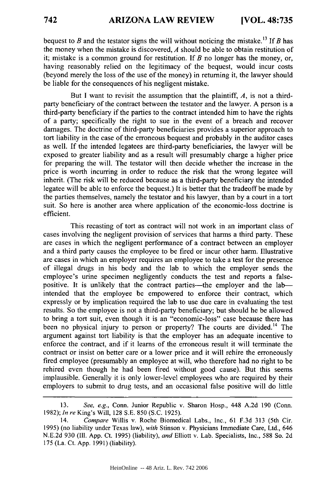bequest to  $B$  and the testator signs the will without noticing the mistake.<sup>13</sup> If  $B$  has the money when the mistake is discovered, *A* should be able to obtain restitution of it; mistake is a common ground for restitution. If *B* no longer has the money, or, having reasonably relied on the legitimacy of the bequest, would incur costs (beyond merely the loss of the use of the money) in returning it, the lawyer should be liable for the consequences of his negligent mistake.

But I want to revisit the assumption that the plaintiff, *A,* is not a thirdparty beneficiary of the contract between the testator and the lawyer. A person is a third-party beneficiary if the parties to the contract intended him to have the rights of a party; specifically the right to sue in the event of a breach and recover damages. The doctrine of third-party beneficiaries provides a superior approach to tort liability in the case of the erroneous bequest and probably in the auditor cases as well. If the intended legatees are third-party beneficiaries, the lawyer will be exposed to greater liability and as a result will presumably charge a higher price for preparing the will. The testator will then decide whether the increase in the price is worth incurring in order to reduce the risk that the wrong legatee will inherit. (The risk will be reduced because as a third-party beneficiary the intended legatee will be able to enforce the bequest.) It is better that the tradeoff be made by the parties themselves, namely the testator and his lawyer, than by a court in a tort suit. So here is another area where application of the economic-loss doctrine is efficient.

This recasting of tort as contract will not work in an important class of cases involving the negligent provision of services that harms a third party. These are cases in which the negligent performance of a contract between an employer and a third party causes the employee to be fired or incur other harm. Illustrative are cases in which an employer requires an employee to take a test for the presence of illegal drugs in his body and the lab to which the employer sends the employee's urine specimen negligently conducts the test and reports a falsepositive. It is unlikely that the contract parties-the employer and the labintended that the employee be empowered to enforce their contract, which expressly or by implication required the lab to use due care in evaluating the test results. So the employee is not a third-party beneficiary; but should he be allowed to bring a tort suit, even though it is an "economic-loss" case because there has been no physical injury to person or property? The courts are divided.<sup>14</sup> The argument against tort liability is that the employer has an adequate incentive to enforce the contract, and if it learns of the erroneous result it will terminate the contract or insist on better care or a lower price and it will rehire the erroneously fired employee (presumably an employee at will, who therefore had no right to be rehired even though he had been fired without good cause). But this seems implausible. Generally it is only lower-level employees who are required by their employers to submit to drug tests, and an occasional false positive will do little

<sup>13.</sup> *See, e.g.,* Conn. Junior Republic v. Sharon Hosp., 448 A.2d 190 (Conn. 1982); *In re* King's Will, 128 S.E. 850 (S.C. 1925).

<sup>14.</sup> *Compare* Willis v. Roche Biomedical Labs., Inc., 61 F.3d 313 (5th Cir. 1995) (no liability under Texas law), *with* Stinson v. Physicians Immediate Care, Ltd., 646 N.E.2d 930 **(I11.** App. Ct. 1995) (liability), *and* Elliott v. Lab. Specialists, Inc., 588 So. 2d 175 (La. Ct. App. 1991) (liability).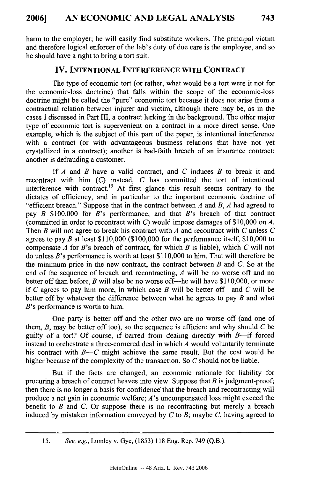**harm** to the employer; he will easily find substitute workers. The principal victim and therefore logical enforcer of the lab's duty of due care is the employee, and so he should have a right to bring a tort suit.

#### **IV. INTENTIONAL INTERFERENCE WITH CONTRACT**

The type of economic tort (or rather, what would be a tort were it not for the economic-loss doctrine) that falls within the scope of the economic-loss doctrine might be called the "pure" economic tort because it does not arise from a contractual relation between injurer and victim, although there may be, as in the cases **I** discussed in Part **III,** a contract lurking in the background. The other major type of economic tort is supervenient on a contract in a more direct sense. One example, which is the subject of this part of the paper, is intentional interference with a contract (or with advantageous business relations that have not yet crystallized in a contract); another is bad-faith breach of an insurance contract; another is defrauding a customer.

**If** *A* and *B* have a valid contract, and *C* induces *B* to break it and recontract with him *(C)* instead, *C* has committed the tort of intentional interference with contract.<sup>15</sup> At first glance this result seems contrary to the dictates of efficiency, and in particular to the important economic doctrine of "efficient breach." Suppose that in the contract between *A* and *B, A* had agreed to pay *B* **\$100,000** for *B's* performance, and that *B's* breach of that contract (committed in order to recontract with *C)* would impose damages of **\$10,000** on **A.** Then *B* will not agree to break his contract with *A* and recontract with *C* unless *C* agrees to pay *B* at least **\$110,000 (\$100,000** for the performance itself, **\$10,000** to compensate *A* for *B's* breach of contract, for which *B* is liable), which *C* will not do unless *B's* performance is worth at least **\$110,000** to him. That will therefore be the minimum price in the new contract, the contract between *B* and *C.* So at the end of the sequence of breach and recontracting, *A* will be no worse off and no better off than before, *B* will also be no worse off-he will have **\$110,000,** or more if  $C$  agrees to pay him more, in which case  $B$  will be better of f—and  $C$  will be better off **by** whatever the difference between what he agrees to pay *B* and what *B's* performance is worth to him.

One party is better off and the other two are no worse off (and one of them, *B,* may be better off too), so the sequence is efficient and why should *C* **be** guilty of a tort? Of course, if barred from dealing directly with  $B$ —if forced instead to orchestrate a three-cornered deal in which *A* would voluntarily terminate his contract with *B-C* might achieve the same result. But the cost would be higher because of the complexity of the transaction. So *C* should not be liable.

But if the facts are changed, an economic rationale for liability for procuring a breach of contract heaves into view. Suppose that *B* is judgment-proof, then there is no longer a basis for confidence' that the breach and recontracting will produce a net gain in economic welfare; *A's* uncompensated loss might exceed the benefit to *B* and *C.* Or suppose there is no recontracting but merely a breach induced **by** mistaken information conveyed **by** *C* to *B;* maybe *C,* having agreed to

*<sup>15.</sup> See, e.g.,* Lumley v. Gye, (1853) 118 Eng. Rep. 749 **(Q.B.).**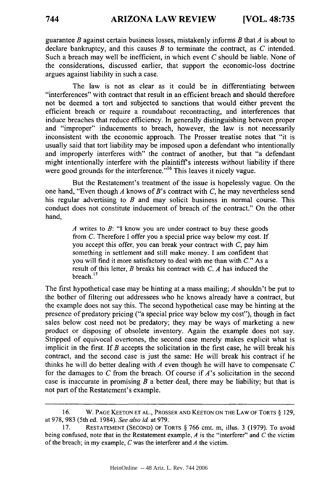guarantee *B* against certain business losses, mistakenly informs *B* that *A* is about to declare bankruptcy, and this causes *B* to terminate the contract, as *C* intended. Such a breach may well be inefficient, in which event *C* should be liable. None of the considerations, discussed earlier, that support the economic-loss doctrine argues against liability in such a case.

The law is not as clear as it could be in differentiating between "interferences" with contract that result in an efficient breach and should therefore not be deemed a tort and subjected to sanctions that would either prevent the efficient breach or require a roundabout recontracting, and interferences that induce breaches that reduce efficiency. In generally distinguishing between proper and "improper" inducements to breach, however, the law is not necessarily inconsistent with the economic approach. The Prosser treatise notes that "it is usually said that tort liability may be imposed upon a defendant who intentionally and improperly interferes with" the contract of another, but that "a defendant might intentionally interfere with the plaintiff's interests without liability if there were good grounds for the interference.<sup>" 16</sup> This leaves it nicely vague.

But the Restatement's treatment of the issue is hopelessly vague. On the one hand, "Even though *A* knows of B's contract with *C,* he may nevertheless send his regular advertising to *B* and may solicit business in normal course. This conduct does not constitute inducement of breach of the contract." On the other hand,

> *A* writes to *B:* "I know you are under contract to buy these goods from *C.* Therefore I offer you a special price way below my cost. If you accept this offer, you can break your contract with *C,* pay him something in settlement and still make money. I am confident that you will find it more satisfactory to deal with me than with *C."* As a result of this letter, *B* breaks his contract with *C. A* has induced the breach. **17**

The first hypothetical case may be hinting at a mass mailing; *A* shouldn't be put to the bother of filtering out addressees who he knows already have a contract, but the example does not say this. The second hypothetical case may be hinting at the presence of predatory pricing ("a special price way below my cost"), though in fact sales below cost need not be predatory; they may be ways of marketing a new product or disposing of obsolete inventory. Again the example does not say. Stripped of equivocal overtones, the second case merely makes explicit what is implicit in the first. If *B* accepts the solicitation in the first case, he will break his contract, and the second case is just the same: He will break his contract if he thinks he will do better dealing with *A* even though he will have to compensate *C* for the damages to *C* from the breach. Of course if *A's* solicitation in the second case is inaccurate in promising *B* a better deal, there may be liability; but that is not part of the Restatement's example.

<sup>16.</sup> W. PAGE KEETON ET **AL.,** PROSSER AND KEETON ON THE LAW OF TORTS **§** 129, at 978, 983 (5th ed. 1984). *See also* id. at 979.

<sup>17.</sup> RESTATEMENT (SECOND) OF TORTS **§** 766 cmt. m, illus. 3 (1979). To avoid being confused, note that in the Restatement example, *A* is the "interferer" and *C* the victim of the breach; in my example, *C* was the interferer and *A* the victim.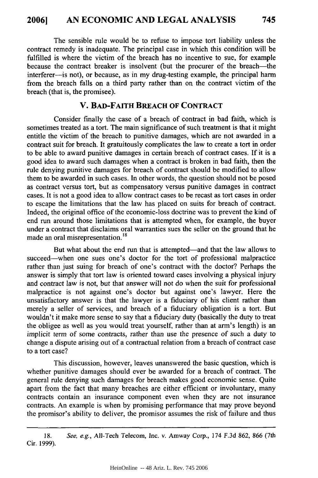The sensible rule would be to refuse to impose tort liability unless the contract remedy is inadequate. The principal case in which this condition will be fulfilled is where the victim of the breach has no incentive to sue, for example because the contract breaker is insolvent (but the procurer of the breach-the interferer-is not), or because, as in my drug-testing example, the principal harm from the breach falls on a third party rather than on the contract victim of the breach (that is, the promisee).

## **V. BAD-FAITH BREACH OF CONTRACT**

Consider finally the case of a breach of contract in bad faith, which is sometimes treated as a tort. The main significance of such treatment is that it might entitle the victim of the breach to punitive damages, which are not awarded in a contract suit for breach. It gratuitously complicates the law to create a tort in order to be able to award punitive damages in certain breach of contract cases. **If** it is a good idea to award such damages when a contract is broken in bad faith, then the rule denying punitive damages for breach of contract should be modified to allow them to be awarded in such cases. In other words, the question should not be posed as contract versus tort, but as compensatory versus punitive damages in contract cases. It is not a good idea to allow contract cases to be recast as tort cases in order to escape the limitations that the law has placed on suits for breach of contract. Indeed, the original office of the economic-loss doctrine was to prevent the kind of end run around those limitations that is attempted when, for example, the buyer under a contract that disclaims oral warranties sues the seller on the ground that he made an oral **misrepresentation.18**

But what about the end run that is attempted—and that the law allows to succeed-when one sues one's doctor for the tort of professional malpractice rather than just suing for breach of one's contract with the doctor? Perhaps the answer is simply that tort law is oriented toward cases involving a physical injury and contract law is not, *but* that answer will not do when the suit for professional malpractice is not against one's doctor but against one's lawyer. Here the unsatisfactory answer is that the lawyer is a fiduciary of his client rather than merely a seller of services, and breach of a fiduciary obligation is a tort. But wouldn't it make more sense to say that a fiduciary duty (basically the duty to treat the obligee as well as you would treat yourself, rather than at arm's length) is an implicit term of some contracts, rather than use the presence of such a duty to change a dispute arising out of a contractual relation from a breach of contract case to a tort case?

This discussion, however, leaves unanswered the basic question, which is whether punitive damages should ever be awarded for a breach of contract. The general rule denying such damages for breach makes good economic sense. Quite apart from the fact that many breaches are either efficient or involuntary, many contracts contain an insurance component even when they are not insurance contracts. An example is when by promising performance that may prove beyond the promisor's ability to deliver, the promisor assumes the risk of failure and thus

**<sup>18.</sup>** Cir. 1999). *See, e.g.,* All-Tech Telecom, Inc. v. Amway Corp., 174 F.3d 862, 866 (7th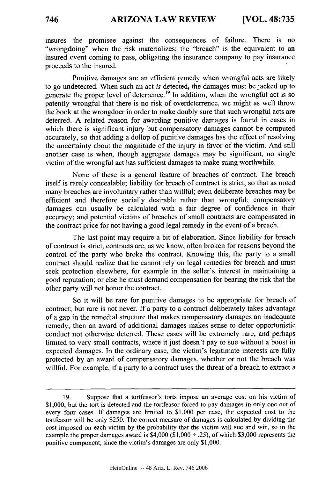insures the promisee against the consequences of failure. There is no "wrongdoing" when the risk materializes; the "breach" is the equivalent to an insured event coming to pass, obligating the insurance company to pay insurance proceeds to the insured.

Punitive damages are an efficient remedy when wrongful acts are likely to go undetected. When such an act *is* detected, the damages must be jacked up to generate the proper level of deterrence.<sup>19</sup> In addition, when the wrongful act is so patently wrongful that there is no risk of overdeterrence, we might as well throw the book at the wrongdoer in order to make doubly sure that such wrongful acts are deterred. A related reason for awarding punitive damages is found in cases in which there is significant injury but compensatory damages cannot be computed accurately, so that adding a dollop of punitive damages has the effect of resolving the uncertainty about the magnitude of the injury in favor of the victim. And still another case is when, though aggregate damages may be significant, no single victim of the wrongful act has sufficient damages to make suing worthwhile.

None of these is a general feature of breaches of contract. The breach itself is rarely concealable; liability for breach of contract is strict, so that as noted many breaches are involuntary rather than willful; even deliberate breaches may be efficient and therefore socially desirable rather than wrongful; compensatory damages can usually be calculated with a fair degree of confidence in their accuracy; and potential victims of breaches of small contracts are compensated in the contract price for not having a good legal remedy in the event of a breach.

The last point may require a bit of elaboration. Since liability for breach of contract is strict, contracts are, as we know, often broken for reasons beyond the control of the party who broke the contract. Knowing this, the party to a small contract should realize that he cannot rely on legal remedies for breach and must seek protection elsewhere, for example in the seller's interest in maintaining a good reputation; or else he must demand compensation for bearing the risk that the other party will not honor the contract.

So it will be rare for punitive damages to be appropriate for breach of contract; but rare is not never. If a party to a contract deliberately takes advantage of a gap in the remedial structure that makes compensatory damages an inadequate remedy, then an award of additional damages makes sense to deter opportunistic conduct not otherwise deterred. These cases will be extremely rare, and perhaps limited to very small contracts, where it just doesn't pay to sue without a boost in expected damages. In the ordinary case, the victim's legitimate interests are fully protected by an award of compensatory damages, whether or not the breach was willful. For example, if a party to a contract uses the threat of a breach to extract a

<sup>19.</sup> Suppose that a tortfeasor's torts impose an average cost on his victim of \$1,000, but the tort is detected and the tortfeasor forced to pay damages in only one out of every four cases. If damages are limited to \$1,000 per case, the expected cost to the tortfeasor will be only \$250. The correct measure of damages is calculated by dividing the cost imposed on each victim by the probability that the victim will sue and win, so in the example the proper damages award is  $$4,000$  ( $$1,000 \div .25$ ), of which \$3,000 represents the punitive component, since the victim's damages are only \$1,000.